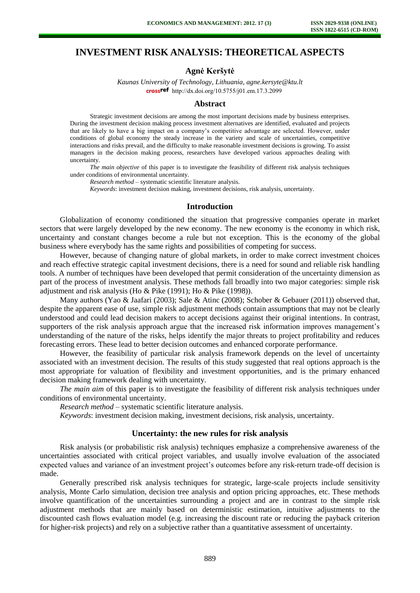# **INVESTMENT RISK ANALYSIS: THEORETICAL ASPECTS**

### **Agnė Keršytė**

*Kaunas University of Technology, Lithuania, agne.kersyte@ktu.lt*  crossref [http://dx.doi.org/10.5755/j01.e](http://dx.doi.org/10.5755/j01.em.17.3.2099)m.17.3.2099

#### **Abstract**

Strategic investment decisions are among the most important decisions made by business enterprises. During the investment decision making process investment alternatives are identified, evaluated and projects that are likely to have a big impact on a company's competitive advantage are selected. However, under conditions of global economy the steady increase in the variety and scale of uncertainties, competitive interactions and risks prevail, and the difficulty to make reasonable investment decisions is growing. To assist managers in the decision making process, researchers have developed various approaches dealing with uncertainty.

*The main objective* of this paper is to investigate the feasibility of different risk analysis techniques under conditions of environmental uncertainty.

*Research method* – systematic scientific literature analysis.

*Keywords*: investment decision making, investment decisions, risk analysis, uncertainty.

### **Introduction**

Globalization of economy conditioned the situation that progressive companies operate in market sectors that were largely developed by the new economy. The new economy is the economy in which risk, uncertainty and constant changes become a rule but not exception. This is the economy of the global business where everybody has the same rights and possibilities of competing for success.

However, because of changing nature of global markets, in order to make correct investment choices and reach effective strategic capital investment decisions, there is a need for sound and reliable risk handling tools. A number of techniques have been developed that permit consideration of the uncertainty dimension as part of the process of investment analysis. These methods fall broadly into two major categories: simple risk adjustment and risk analysis (Ho & Pike (1991); Ho & Pike (1998)).

Many authors (Yao & Jaafari (2003); Sale & Atinc (2008); Schober & Gebauer (2011)) observed that, despite the apparent ease of use, simple risk adjustment methods contain assumptions that may not be clearly understood and could lead decision makers to accept decisions against their original intentions. In contrast, supporters of the risk analysis approach argue that the increased risk information improves management's understanding of the nature of the risks, helps identify the major threats to project profitability and reduces forecasting errors. These lead to better decision outcomes and enhanced corporate performance.

However, the feasibility of particular risk analysis framework depends on the level of uncertainty associated with an investment decision. The results of this study suggested that real options approach is the most appropriate for valuation of flexibility and investment opportunities, and is the primary enhanced decision making framework dealing with uncertainty.

*The main aim* of this paper is to investigate the feasibility of different risk analysis techniques under conditions of environmental uncertainty.

*Research method* – systematic scientific literature analysis.

*Keywords*: investment decision making, investment decisions, risk analysis, uncertainty.

#### **Uncertainty: the new rules for risk analysis**

Risk analysis (or probabilistic risk analysis) techniques emphasize a comprehensive awareness of the uncertainties associated with critical project variables, and usually involve evaluation of the associated expected values and variance of an investment project's outcomes before any risk-return trade-off decision is made.

Generally prescribed risk analysis techniques for strategic, large-scale projects include sensitivity analysis, Monte Carlo simulation, decision tree analysis and option pricing approaches, etc. These methods involve quantification of the uncertainties surrounding a project and are in contrast to the simple risk adjustment methods that are mainly based on deterministic estimation, intuitive adjustments to the discounted cash flows evaluation model (e.g. increasing the discount rate or reducing the payback criterion for higher-risk projects) and rely on a subjective rather than a quantitative assessment of uncertainty.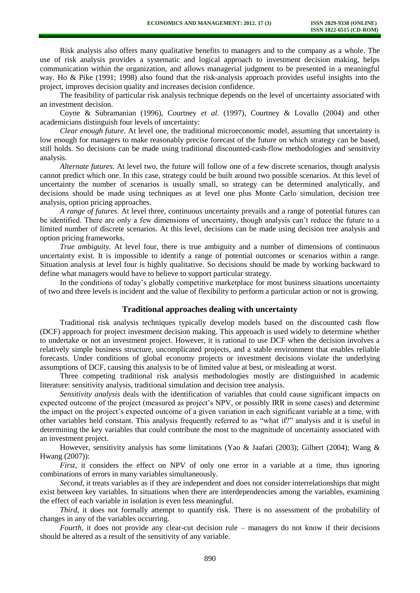Risk analysis also offers many qualitative benefits to managers and to the company as a whole. The use of risk analysis provides a systematic and logical approach to investment decision making, helps communication within the organization, and allows managerial judgment to be presented in a meaningful way. Ho & Pike (1991; 1998) also found that the risk-analysis approach provides useful insights into the project, improves decision quality and increases decision confidence.

The feasibility of particular risk analysis technique depends on the level of uncertainty associated with an investment decision.

Coyne & Subramanian (1996), Courtney *et al.* (1997), Courtney & Lovallo (2004) and other academicians distinguish four levels of uncertainty:

*Clear enough future*. At level one, the traditional microeconomic model, assuming that uncertainty is low enough for managers to make reasonably precise forecast of the future on which strategy can be based, still holds. So decisions can be made using traditional discounted-cash-flow methodologies and sensitivity analysis.

*Alternate futures.* At level two, the future will follow one of a few discrete scenarios, though analysis cannot predict which one. In this case, strategy could be built around two possible scenarios. At this level of uncertainty the number of scenarios is usually small, so strategy can be determined analytically, and decisions should be made using techniques as at level one plus Monte Carlo simulation, decision tree analysis, option pricing approaches.

*A range of futures*. At level three, continuous uncertainty prevails and a range of potential futures can be identified. There are only a few dimensions of uncertainty, though analysis can't reduce the future to a limited number of discrete scenarios. At this level, decisions can be made using decision tree analysis and option pricing frameworks.

*True ambiguity*. At level four, there is true ambiguity and a number of dimensions of continuous uncertainty exist. It is impossible to identify a range of potential outcomes or scenarios within a range. Situation analysis at level four is highly qualitative. So decisions should be made by working backward to define what managers would have to believe to support particular strategy.

In the conditions of today's globally competitive marketplace for most business situations uncertainty of two and three levels is incident and the value of flexibility to perform a particular action or not is growing.

#### **Traditional approaches dealing with uncertainty**

Traditional risk analysis techniques typically develop models based on the discounted cash flow (DCF) approach for project investment decision making. This approach is used widely to determine whether to undertake or not an investment project. However, it is rational to use DCF when the decision involves a relatively simple business structure, uncomplicated projects, and a stable environment that enables reliable forecasts. Under conditions of global economy projects or investment decisions violate the underlying assumptions of DCF, causing this analysis to be of limited value at best, or misleading at worst.

Three competing traditional risk analysis methodologies mostly are distinguished in academic literature: sensitivity analysis, traditional simulation and decision tree analysis.

*Sensitivity analysis* deals with the identification of variables that could cause significant impacts on expected outcome of the project (measured as project's NPV, or possibly IRR in some cases) and determine the impact on the project's expected outcome of a given variation in each significant variable at a time, with other variables held constant. This analysis frequently referred to as "what if?" analysis and it is useful in determining the key variables that could contribute the most to the magnitude of uncertainty associated with an investment project.

However, sensitivity analysis has some limitations (Yao & Jaafari (2003); Gilbert (2004); Wang & Hwang (2007)):

*First*, it considers the effect on NPV of only one error in a variable at a time, thus ignoring combinations of errors in many variables simultaneously.

*Second*, it treats variables as if they are independent and does not consider interrelationships that might exist between key variables. In situations when there are interdependencies among the variables, examining the effect of each variable in isolation is even less meaningful.

*Third*, it does not formally attempt to quantify risk. There is no assessment of the probability of changes in any of the variables occurring.

*Fourth*, it does not provide any clear-cut decision rule – managers do not know if their decisions should be altered as a result of the sensitivity of any variable.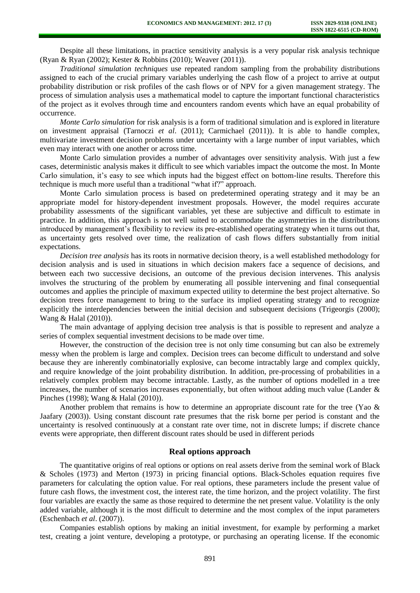Despite all these limitations, in practice sensitivity analysis is a very popular risk analysis technique (Ryan & Ryan (2002); Kester & Robbins (2010); Weaver (2011)).

*Traditional simulation techniques* use repeated random sampling from the probability distributions assigned to each of the crucial primary variables underlying the cash flow of a project to arrive at output probability distribution or risk profiles of the cash flows or of NPV for a given management strategy. The process of simulation analysis uses a mathematical model to capture the important functional characteristics of the project as it evolves through time and encounters random events which have an equal probability of occurrence.

*Monte Carlo simulation* for risk analysis is a form of traditional simulation and is explored in literature on investment appraisal (Tarnoczi *et al*. (2011); Carmichael (2011)). It is able to handle complex, multivariate investment decision problems under uncertainty with a large number of input variables, which even may interact with one another or across time.

Monte Carlo simulation provides a number of advantages over sensitivity analysis. With just a few cases, deterministic analysis makes it difficult to see which variables impact the outcome the most. In Monte Carlo simulation, it's easy to see which inputs had the biggest effect on bottom-line results. Therefore this technique is much more useful than a traditional "what if?" approach.

Monte Carlo simulation process is based on predetermined operating strategy and it may be an appropriate model for history-dependent investment proposals. However, the model requires accurate probability assessments of the significant variables, yet these are subjective and difficult to estimate in practice. In addition, this approach is not well suited to accommodate the asymmetries in the distributions introduced by management's flexibility to review its pre-established operating strategy when it turns out that, as uncertainty gets resolved over time, the realization of cash flows differs substantially from initial expectations.

*Decision tree analysis* has its roots in normative decision theory, is a well established methodology for decision analysis and is used in situations in which decision makers face a sequence of decisions, and between each two successive decisions, an outcome of the previous decision intervenes. This analysis involves the structuring of the problem by enumerating all possible intervening and final consequential outcomes and applies the principle of maximum expected utility to determine the best project alternative. So decision trees force management to bring to the surface its implied operating strategy and to recognize explicitly the interdependencies between the initial decision and subsequent decisions (Trigeorgis (2000); Wang & Halal (2010)).

The main advantage of applying decision tree analysis is that is possible to represent and analyze a series of complex sequential investment decisions to be made over time.

However, the construction of the decision tree is not only time consuming but can also be extremely messy when the problem is large and complex. Decision trees can become difficult to understand and solve because they are inherently combinatorially explosive, can become intractably large and complex quickly, and require knowledge of the joint probability distribution. In addition, pre-processing of probabilities in a relatively complex problem may become intractable. Lastly, as the number of options modelled in a tree increases, the number of scenarios increases exponentially, but often without adding much value (Lander & Pinches (1998); Wang & Halal (2010)).

Another problem that remains is how to determine an appropriate discount rate for the tree (Yao  $\&$ Jaafary (2003)). Using constant discount rate presumes that the risk borne per period is constant and the uncertainty is resolved continuously at a constant rate over time, not in discrete lumps; if discrete chance events were appropriate, then different discount rates should be used in different periods

#### **Real options approach**

The quantitative origins of real options or options on real assets derive from the seminal work of Black & Scholes (1973) and Merton (1973) in pricing financial options. Black-Scholes equation requires five parameters for calculating the option value. For real options, these parameters include the present value of future cash flows, the investment cost, the interest rate, the time horizon, and the project volatility. The first four variables are exactly the same as those required to determine the net present value. Volatility is the only added variable, although it is the most difficult to determine and the most complex of the input parameters (Eschenbach *et al*. (2007)).

Companies establish options by making an initial investment, for example by performing a market test, creating a joint venture, developing a prototype, or purchasing an operating license. If the economic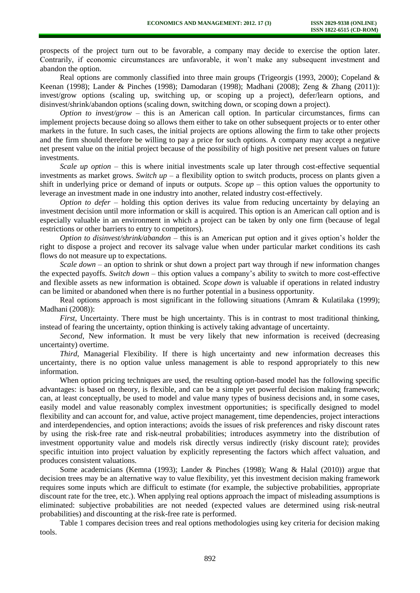prospects of the project turn out to be favorable, a company may decide to exercise the option later. Contrarily, if economic circumstances are unfavorable, it won't make any subsequent investment and abandon the option.

Real options are commonly classified into three main groups (Trigeorgis (1993, 2000); Copeland & Keenan (1998); Lander & Pinches (1998); Damodaran (1998); Madhani (2008); Zeng & Zhang (2011)): invest/grow options (scaling up, switching up, or scoping up a project), defer/learn options, and disinvest/shrink/abandon options (scaling down, switching down, or scoping down a project).

*Option to invest/grow* – this is an American call option. In particular circumstances, firms can implement projects because doing so allows them either to take on other subsequent projects or to enter other markets in the future. In such cases, the initial projects are options allowing the firm to take other projects and the firm should therefore be willing to pay a price for such options. A company may accept a negative net present value on the initial project because of the possibility of high positive net present values on future investments.

*Scale up option* – this is where initial investments scale up later through cost-effective sequential investments as market grows. *Switch up* – a flexibility option to switch products, process on plants given a shift in underlying price or demand of inputs or outputs. *Scope up* – this option values the opportunity to leverage an investment made in one industry into another, related industry cost-effectively.

*Option to defer* – holding this option derives its value from reducing uncertainty by delaying an investment decision until more information or skill is acquired. This option is an American call option and is especially valuable in an environment in which a project can be taken by only one firm (because of legal restrictions or other barriers to entry to competitors).

*Option to disinvest/shrink/abandon* – this is an American put option and it gives option's holder the right to dispose a project and recover its salvage value when under particular market conditions its cash flows do not measure up to expectations.

*Scale down* – an option to shrink or shut down a project part way through if new information changes the expected payoffs. *Switch down* – this option values a company's ability to switch to more cost-effective and flexible assets as new information is obtained. *Scope down* is valuable if operations in related industry can be limited or abandoned when there is no further potential in a business opportunity.

Real options approach is most significant in the following situations (Amram & Kulatilaka (1999); Madhani (2008)):

*First*, Uncertainty. There must be high uncertainty. This is in contrast to most traditional thinking, instead of fearing the uncertainty, option thinking is actively taking advantage of uncertainty.

*Second*, New information. It must be very likely that new information is received (decreasing uncertainty) overtime.

*Third*, Managerial Flexibility. If there is high uncertainty and new information decreases this uncertainty, there is no option value unless management is able to respond appropriately to this new information.

When option pricing techniques are used, the resulting option-based model has the following specific advantages: is based on theory, is flexible, and can be a simple yet powerful decision making framework; can, at least conceptually, be used to model and value many types of business decisions and, in some cases, easily model and value reasonably complex investment opportunities; is specifically designed to model flexibility and can account for, and value, active project management, time dependencies, project interactions and interdependencies, and option interactions; avoids the issues of risk preferences and risky discount rates by using the risk-free rate and risk-neutral probabilities; introduces asymmetry into the distribution of investment opportunity value and models risk directly versus indirectly (risky discount rate); provides specific intuition into project valuation by explicitly representing the factors which affect valuation, and produces consistent valuations.

Some academicians (Kemna (1993); Lander & Pinches (1998); Wang & Halal (2010)) argue that decision trees may be an alternative way to value flexibility, yet this investment decision making framework requires some inputs which are difficult to estimate (for example, the subjective probabilities, appropriate discount rate for the tree, etc.). When applying real options approach the impact of misleading assumptions is eliminated: subjective probabilities are not needed (expected values are determined using risk-neutral probabilities) and discounting at the risk-free rate is performed.

Table 1 compares decision trees and real options methodologies using key criteria for decision making tools.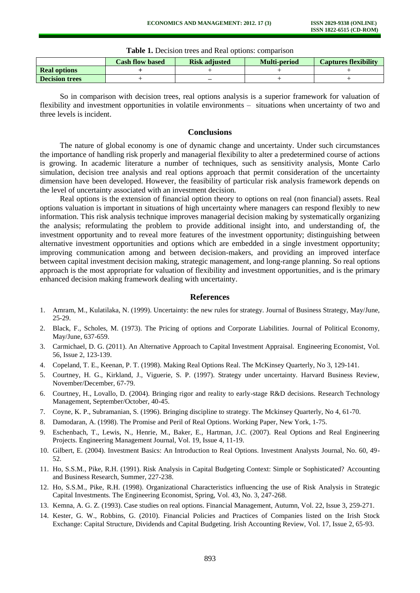| Tuble 1, Decipion weep and item options, comparison |                        |                      |                     |                             |
|-----------------------------------------------------|------------------------|----------------------|---------------------|-----------------------------|
|                                                     | <b>Cash flow based</b> | <b>Risk adjusted</b> | <b>Multi-period</b> | <b>Captures flexibility</b> |
| <b>Real options</b>                                 |                        |                      |                     |                             |
| <b>Decision trees</b>                               |                        | _                    |                     |                             |

**Table 1.** Decision trees and Real options: comparison

So in comparison with decision trees, real options analysis is a superior framework for valuation of flexibility and investment opportunities in volatile environments – situations when uncertainty of two and three levels is incident.

## **Conclusions**

The nature of global economy is one of dynamic change and uncertainty. Under such circumstances the importance of handling risk properly and managerial flexibility to alter a predetermined course of actions is growing. In academic literature a number of techniques, such as sensitivity analysis, Monte Carlo simulation, decision tree analysis and real options approach that permit consideration of the uncertainty dimension have been developed. However, the feasibility of particular risk analysis framework depends on the level of uncertainty associated with an investment decision.

Real options is the extension of financial option theory to options on real (non financial) assets. Real options valuation is important in situations of high uncertainty where managers can respond flexibly to new information. This risk analysis technique improves managerial decision making by systematically organizing the analysis; reformulating the problem to provide additional insight into, and understanding of, the investment opportunity and to reveal more features of the investment opportunity; distinguishing between alternative investment opportunities and options which are embedded in a single investment opportunity; improving communication among and between decision-makers, and providing an improved interface between capital investment decision making, strategic management, and long-range planning. So real options approach is the most appropriate for valuation of flexibility and investment opportunities, and is the primary enhanced decision making framework dealing with uncertainty.

#### **References**

- 1. Amram, M., Kulatilaka, N. (1999). Uncertainty: the new rules for strategy. Journal of Business Strategy, May/June, 25-29.
- 2. Black, F., Scholes, M. (1973). The Pricing of options and Corporate Liabilities. Journal of Political Economy, May/June, 637-659.
- 3. Carmichael, D. G. (2011). [An Alternative](http://ehis.ebscohost.com/ehost/viewarticle?data=dGJyMPPp44rp2%2fdV0%2bnjisfk5Ie46bJQtKq1TLSk63nn5Kx95uXxjL6prUqzpbBIr6ieSripsVKupp5oy5zyit%2fk8Xnh6ueH7N%2fiVbSosE20prJJtZzqeezdu33snOJ6u9jygKTq33%2b7t8w%2b3%2bS7Tq%2bns0%2bzqbI%2b5OXwhd%2fqu37z4uqM4%2b7y&hid=2) Approach to Capital Investment Appraisal. Engineering Economist, Vol. 56, Issue 2, 123-139.
- 4. Copeland, T. E., Keenan, P. T. (1998). Making Real Options Real. The McKinsey Quarterly, No 3, 129-141.
- 5. Courtney, H. G., Kirkland, J., Viguerie, S. P. (1997). Strategy under uncertainty. Harvard Business Review, November/December, 67-79.
- 6. Courtney, H., Lovallo, D. (2004). Bringing rigor and reality to early-stage R&D decisions. Research Technology Management, September/October, 40-45.
- 7. Coyne, K. P., Subramanian, S. (1996). Bringing discipline to strategy. The Mckinsey Quarterly, No 4, 61-70.
- 8. Damodaran, A. (1998). The Promise and Peril of Real Options. Working Paper, New York, 1-75.
- 9. Eschenbach, T., Lewis, N., Henrie, M., Baker, E., Hartman, J.C. (2007). Real Options and Real Engineering Projects. Engineering Management Journal, Vol. 19, Issue 4, 11-19.
- 10. Gilbert, E. (2004). Investment Basics: An Introduction to Real Options. Investment Analysts Journal, No. 60, 49- 52.
- 11. Ho, S.S.M., Pike, R.H. (1991). Risk Analysis in Capital Budgeting Context: Simple or Sophisticated? Accounting and Business Research*,* Summer, 227-238.
- 12. Ho, S.S.M., Pike, R.H. (1998). Organizational Characteristics influencing the use of Risk Analysis in Strategic Capital Investments. The Engineering Economist, Spring, Vol. 43, No. 3, 247-268.
- 13. Kemna, A. G. Z. (1993). Case studies on real options. Financial Management, Autumn, Vol. 22, Issue 3, 259-271.
- 14. Kester, G. W., Robbins, G. (2010). Financial Policies and Practices of Companies listed on the Irish Stock Exchange: Capital Structure, Dividends and Capital Budgeting. Irish Accounting Review, Vol. 17, Issue 2, 65-93.